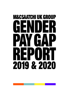## **M&CSAATCHI UK GROUP** ENDER NG/ N  $\mathbf{U}$ REPORT 2019 & 2020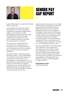

## Gender Pay Gap Report

I joined M&C Saatchi as Global Chief People Officer in April 2021.

I am pleased to find that M&C Saatchi had already committed to publishing its gender pay gap report, despite being made up of a number of smaller businesses that individually remain under the threshold for statutory reporting. I believe that transparency is a key part of holding ourselves accountable for progress within our business.

We are sharing our report later than normal due to a number of factors, however we are committed to sharing our 2021 data by the end of the calendar year, ahead of the normal reporting timeframe.

This report shares our gender pay gap for 2019 and 2020 – using snapshot data from 5th April in both years respectively. In this report, we share data on all UK employees – including those in our UK businesses and those in global group roles, based in the UK. Whilst I am pleased to see that we are making progress, I am disappointed that our pay gap remains at its current levels and remain committed to ensuring it reduces over time.

Myself, the rest of the Executive Committee and the Board are making a commitment to place Diversity, Equity and Inclusion (DE&I) at the heart of how we operate. We believe this starts with our purpose to Navigate, Create and Lead Meaningful Change for both ourselves and our clients. It is also rooted in our operating principle and belief that Diversity of Thought is a creative necessity. This requires diverse representation in our teams and as well as making us highly competitive, will make us an increasingly great place to work.

We have established a clear DE&I strategy which details our vision, approaches and objectives and we will be working with colleagues across all levels of our business to deliver the required changes. A key part of that strategy will include us removing systemic barriers to the attraction and progression of female talent and thereby ensuring we tackle the gender pay gap overtime.

### **Mark Dickinson-Keen**

Chief People Officer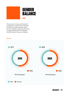

The number of male and female UK employees is captured as of 5th April for both years (the snapshot date). As at the snapshot date, the proportion of male and female UK employees at M&C Saatchi Group is as follows:

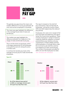### **GENDER** Pay Gap

The gender pay gap shows the mean and median difference in hourly pay between all men and women employed in a business.

The mean pay gap highlights the difference in the average hourly rate of male and female pay.

The median pay gap highlights the difference between the midpoints in the range of male and female hourly pay.

This is not the same as equal pay, which is the legal requirement for all employees to be paid the same for doing the same or similar work.

In contrast, the Gender pay looks at the average of hourly pay for male and female employees.

This report is based on the total full pay received by male and female UK employees\* during the months of April 2019 and 2020 respectively (the relevant pay period).

Employees who were not in receipt of full pay have been excluded from the report as per the Government guidelines. These include employees in receipt of statutory maternity, paternity, adoption or shared parental leave pay, statutory sick pay, unpaid leave, Limited Liability partners and employees on furlough leave under the Coronavirus job retention scheme (not topped up to their usual full pay). The number of employees excluded for 2019 is 24 and 128 employees for 2020.

**\*(2019 – 738 employees, 2020 – 608 employees)**

### Mean **Dealer Strategies and Median**  $\bullet$  37.1%  $\bullet$  31.1% 2019 2020 As of the relevant pay period in 2020, on average, women earn 31.1% per hour less than men. At the midpoint, women earn 24.1% per hour less than men. 2019 2020  $27.3\%$  24.1%

### **Figure 02**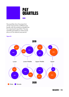

# **PAY<br>QUARTILES**

Pay quartiles show the proportion of men and women in different pay bands, with the workforce divided into four equal parts (quartiles). The pay quartiles are based on mean hourly pay as of the relevant pay period.

**Figure 03**

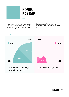

This shows the mean and median difference in total bonus payments received by men and women in the 12 months preceding the relevant period.

The bonus gap information is based on 256 employees in 2019 and 227 employees in 2020.



**M&CSAATCHI | 05**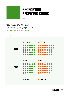

## **PROPORTION** receiving bonus

As at the relevant periods, the proportion of male and female UK employees**\*** who received a bonus in a 12-month period that preceded that period is as follows: **\*(2019 – 106 Males, 150 Females, 2020 – 89 Males, 138 Females)**

#### **Figure 05**

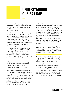### Understanding our Pay Gap

We are pleased to observe progress in some areas. Specifically, our overall mean and median pay gap have both improved in 2020, placing them at the lowest levels since reporting began.

In the 4 years that we have been reporting gender pay gap data, we are pleased to note an increase in the proportion of women in the upper middle pay quartile from 45% to 57% (figure 3). This proportion is representative of the overall proportion of women in the organisation and highlights a welcome increase in the proportion of women occupying senior positions.

We acknowledge a significant drop in the median bonus gap in 2020 (figure 4). There have been a number of internal changes within the business over the last 12 months which have resulted in a number of our senior leadership team leaving the business. We believe this contributed to the change.

At the same time, we also acknowledge areas where no or insufficient progress has been made in the last 12 months.

Specifically, the proportion of women in the upper pay quartile remains static at 34% (figure 3), a level that is considerably lower than the overall proportion of women in the organisation. Given that the single biggest factor impacting our gender pay gap is representation of women in senior positions, we are committed to address this imbalance.

At the other end of the pay scale, we see the proportion of women in the lower pay quartile increased to 63% female, a level

which is higher than the overall proportion of women in the organisation. Given an overall increase of female representation in our organisation, we accept that in the short term this may mean increased representation in the lower quartile as many of our entry level roles are occupied by women. At the same time, we are mindful of the need to minimise any systemic or unconscious gender bias when hiring for junior and/or administrative roles and ensure that we avoid over-representing women in what might be deemed traditionally female-roles.

Whilst we observe a meaningful drop in the median bonus pay gap, there remains a sizeable gap in the average bonus pay between men and women, a gap which has also increased in the last 12 months.

Overall, we recognise that a gender pay gap continues to exist and that ongoing work is required to drive down any such gap and face into any systemic barriers to doing so.

In summary, the data continues to underscore the persistent and widespread challenge that exists within our business and wider industry. To address this we are committing to a range of targeted actions including actively sponsoring the progression of women into our most senior positions, in order to realise the many benefits of truly diverse leadership.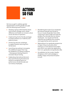### ACTIONS so far

We have sought to address gender representation and the gender pay gap with the following recent actions:

- Devising a group wide Diversity, Equity and Inclusion strategy which values difference and fosters an inclusive culture across all areas of operation.
- Implementing family friendly packages to further enhance our maternity and paternity leave.
- Introducing returner workshops to support parents returning from family leave.
- Launching new policies to recognise the additional support that may be needed by our diverse workforce - Menopause, Working Parent & Domestic Abuse training.
- Celebrating International Women's Day and introducing the Diamond Award to recognise stand-out performance amidst female and non-binary employees.
- Broadening the scope of our employee led network (Equals and Family) to focus on issues all genders face whilst continuing to shine a light and raise the profiles of our female and non-binary employees. Our equals and family networks are funded by the company and supported by senior sponsors.
- Rebranding of our graduate programme to Open House to provide online training to a more diverse future talent pool which now welcomes applications from non-graduates and graduates alike.
- Accreditation by the London Healthy Workplace which acknowledges a healthy, happy and productive place to work.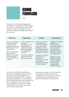

Reducing our current gender pay gap is a priority for us. As part of our DE&I strategy, we will focus on the following action areas to reduce our gender pay gap over time and foster a diverse, equitable and inclusive place of work.

| Attraction                                                                                                                                                                                                                                               | Progression                                                                                                                                                                                                                   | Culture                                                                                                                                                                                                                                                                                                                                  | Governance                                                                                                                                                                                                                                                                                                                     |
|----------------------------------------------------------------------------------------------------------------------------------------------------------------------------------------------------------------------------------------------------------|-------------------------------------------------------------------------------------------------------------------------------------------------------------------------------------------------------------------------------|------------------------------------------------------------------------------------------------------------------------------------------------------------------------------------------------------------------------------------------------------------------------------------------------------------------------------------------|--------------------------------------------------------------------------------------------------------------------------------------------------------------------------------------------------------------------------------------------------------------------------------------------------------------------------------|
| Review our employee<br>value proposition<br>to ensure it is an<br>enabler to attracting<br>female talent to our<br>organisation.<br>Review recruitment<br>processes and<br>systems, and upskill<br>hiring managers<br>to promote inclusive<br>practices. | Invest in programmes<br>of support,<br>development and<br>mentorship that<br>enable our female<br>talent to progress<br>in careers across<br>the group.<br>Identify any systemic<br>barriers to female<br>talent progression. | Continue to provide<br>ongoing learning<br>for all, as we shape<br>an inclusive lived<br>experience, where<br>our female talent can<br>realise their potential<br>and feel they belong.<br>Create the conditions<br>for Equals, (our<br>female and<br>non-binary focused,<br>employee led<br>network), to succeed<br>and be influential. | Establish an effective<br>governance<br>framework and<br>processes to ensure<br>a fair, consistent<br>and transparent<br>application of pay<br>and bonus across<br>the organisation.<br>Appoint a Group<br><b>Reward Director</b><br>to have oversight<br>of remuneration<br>practices and<br>a group-wide<br>reward strategy. |

Given our commitment to address any gender pay challenges identified at pace, we intend to prioritise progress on our Gender Pay Gap Report 2021. In doing so, we will feed findings into our overarching DE&I strategy and ensure we are prioritising the most impactful actions we can take as an organisation. We will also continue to openly share our findings and insight with the wider organisation.

Beyond that, we also commit to reviewing our approach to data collection and categorisation for future reports to ensure it is inclusive and representative of all genders including non-binary genders.